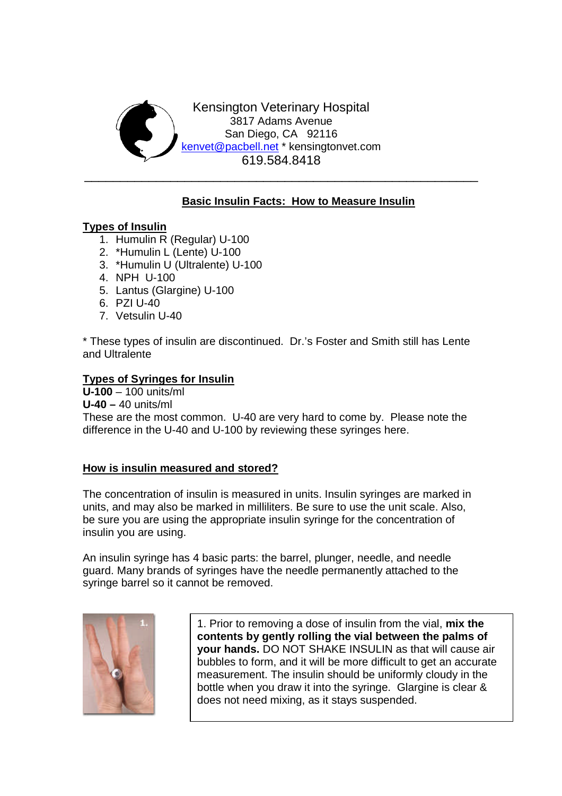

# **Basic Insulin Facts: How to Measure Insulin**

## **Types of Insulin**

- 1. Humulin R (Regular) U-100
- 2. \*Humulin L (Lente) U-100
- 3. \*Humulin U (Ultralente) U-100
- 4. NPH U-100
- 5. Lantus (Glargine) U-100
- 6. PZI U-40
- 7. Vetsulin U-40

\* These types of insulin are discontinued. Dr.'s Foster and Smith still has Lente and Ultralente

## **Types of Syringes for Insulin**

**U-100** – 100 units/ml

**U-40 –** 40 units/ml

These are the most common. U-40 are very hard to come by. Please note the difference in the U-40 and U-100 by reviewing these syringes here.

## **How is insulin measured and stored?**

The concentration of insulin is measured in units. Insulin syringes are marked in units, and may also be marked in milliliters. Be sure to use the unit scale. Also, be sure you are using the appropriate insulin syringe for the concentration of insulin you are using.

An insulin syringe has 4 basic parts: the barrel, plunger, needle, and needle guard. Many brands of syringes have the needle permanently attached to the syringe barrel so it cannot be removed.



1. Prior to removing a dose of insulin from the vial, **mix the contents by gently rolling the vial between the palms of your hands.** DO NOT SHAKE INSULIN as that will cause air bubbles to form, and it will be more difficult to get an accurate measurement. The insulin should be uniformly cloudy in the bottle when you draw it into the syringe. Glargine is clear & does not need mixing, as it stays suspended.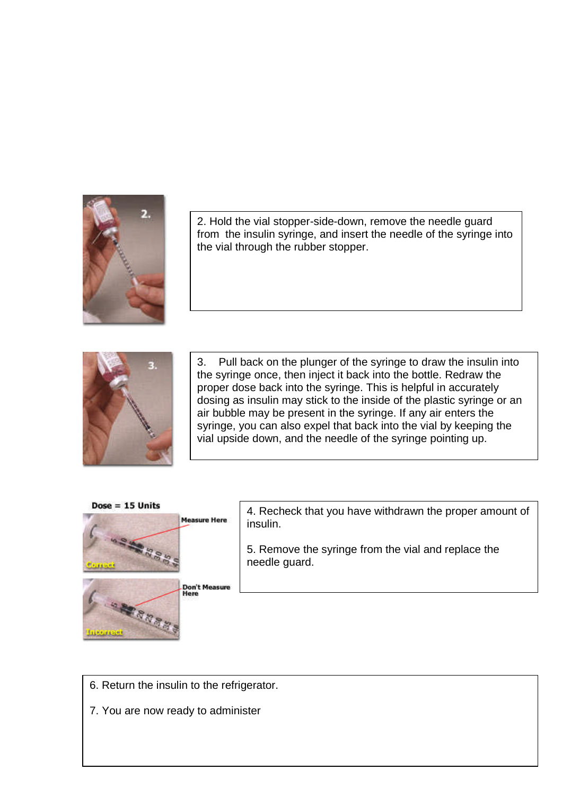

2. Hold the vial stopper-side-down, remove the needle guard from the insulin syringe, and insert the needle of the syringe into the vial through the rubber stopper.



3. Pull back on the plunger of the syringe to draw the insulin into the syringe once, then inject it back into the bottle. Redraw the proper dose back into the syringe. This is helpful in accurately dosing as insulin may stick to the inside of the plastic syringe or an air bubble may be present in the syringe. If any air enters the syringe, you can also expel that back into the vial by keeping the vial upside down, and the needle of the syringe pointing up.



- 6. Return the insulin to the refrigerator.
- 7. You are now ready to administer